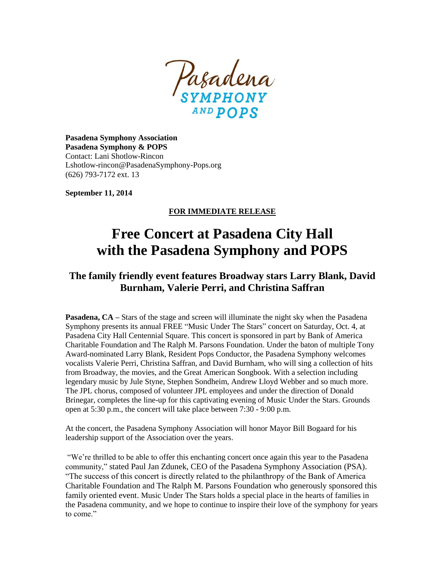

**Pasadena Symphony Association Pasadena Symphony & POPS** Contact: Lani Shotlow-Rincon Lshotlow-rincon@PasadenaSymphony-Pops.org (626) 793-7172 ext. 13

**September 11, 2014**

## **FOR IMMEDIATE RELEASE**

# **Free Concert at Pasadena City Hall with the Pasadena Symphony and POPS**

# **The family friendly event features Broadway stars Larry Blank, David Burnham, Valerie Perri, and Christina Saffran**

**Pasadena, CA –** Stars of the stage and screen will illuminate the night sky when the Pasadena Symphony presents its annual FREE "Music Under The Stars" concert on Saturday, Oct. 4, at Pasadena City Hall Centennial Square. This concert is sponsored in part by Bank of America Charitable Foundation and The Ralph M. Parsons Foundation. Under the baton of multiple Tony Award-nominated Larry Blank, Resident Pops Conductor, the Pasadena Symphony welcomes vocalists Valerie Perri, Christina Saffran, and David Burnham, who will sing a collection of hits from Broadway, the movies, and the Great American Songbook. With a selection including legendary music by Jule Styne, Stephen Sondheim, Andrew Lloyd Webber and so much more. The JPL chorus, composed of volunteer JPL employees and under the direction of Donald Brinegar, completes the line-up for this captivating evening of Music Under the Stars. Grounds open at 5:30 p.m., the concert will take place between 7:30 - 9:00 p.m.

At the concert, the Pasadena Symphony Association will honor Mayor Bill Bogaard for his leadership support of the Association over the years.

"We're thrilled to be able to offer this enchanting concert once again this year to the Pasadena community," stated Paul Jan Zdunek, CEO of the Pasadena Symphony Association (PSA). "The success of this concert is directly related to the philanthropy of the Bank of America Charitable Foundation and The Ralph M. Parsons Foundation who generously sponsored this family oriented event. Music Under The Stars holds a special place in the hearts of families in the Pasadena community, and we hope to continue to inspire their love of the symphony for years to come."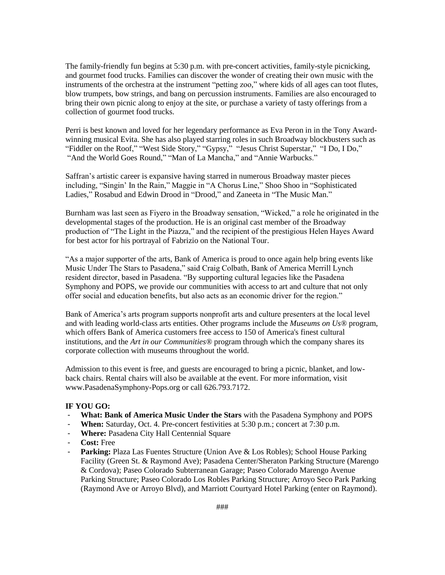The family-friendly fun begins at 5:30 p.m. with pre-concert activities, family-style picnicking, and gourmet food trucks. Families can discover the wonder of creating their own music with the instruments of the orchestra at the instrument "petting zoo," where kids of all ages can toot flutes, blow trumpets, bow strings, and bang on percussion instruments. Families are also encouraged to bring their own picnic along to enjoy at the site, or purchase a variety of tasty offerings from a collection of gourmet food trucks.

Perri is best known and loved for her legendary performance as Eva Peron in in the Tony Awardwinning musical Evita. She has also played starring roles in such Broadway blockbusters such as "Fiddler on the Roof," "West Side Story," "Gypsy," "Jesus Christ Superstar," "I Do, I Do," "And the World Goes Round," "Man of La Mancha," and "Annie Warbucks."

Saffran's artistic career is expansive having starred in numerous Broadway master pieces including, "Singin' In the Rain," Maggie in "A Chorus Line," Shoo Shoo in "Sophisticated Ladies," Rosabud and Edwin Drood in "Drood," and Zaneeta in "The Music Man."

Burnham was last seen as Fiyero in the Broadway sensation, "Wicked," a role he originated in the developmental stages of the production. He is an original cast member of the Broadway production of "The Light in the Piazza," and the recipient of the prestigious Helen Hayes Award for best actor for his portrayal of Fabrizio on the National Tour.

"As a major supporter of the arts, Bank of America is proud to once again help bring events like Music Under The Stars to Pasadena," said Craig Colbath, Bank of America Merrill Lynch resident director, based in Pasadena. "By supporting cultural legacies like the Pasadena Symphony and POPS, we provide our communities with access to art and culture that not only offer social and education benefits, but also acts as an economic driver for the region."

Bank of America's arts program supports nonprofit arts and culture presenters at the local level and with leading world-class arts entities. Other programs include the *Museums on Us®* program, which offers Bank of America customers free access to 150 of America's finest cultural institutions, and the *Art in our Communities®* program through which the company shares its corporate collection with museums throughout the world.

Admission to this event is free, and guests are encouraged to bring a picnic, blanket, and lowback chairs. Rental chairs will also be available at the event. For more information, visit www.PasadenaSymphony-Pops.org or call 626.793.7172.

#### **IF YOU GO:**

- **What: Bank of America Music Under the Stars** with the Pasadena Symphony and POPS
- When: Saturday, Oct. 4. Pre-concert festivities at 5:30 p.m.; concert at 7:30 p.m.
- **Where:** Pasadena City Hall Centennial Square
- **Cost:** Free
- **Parking:** Plaza Las Fuentes Structure (Union Ave & Los Robles); School House Parking Facility (Green St. & Raymond Ave); Pasadena Center/Sheraton Parking Structure (Marengo & Cordova); Paseo Colorado Subterranean Garage; Paseo Colorado Marengo Avenue Parking Structure; Paseo Colorado Los Robles Parking Structure; Arroyo Seco Park Parking (Raymond Ave or Arroyo Blvd), and Marriott Courtyard Hotel Parking (enter on Raymond).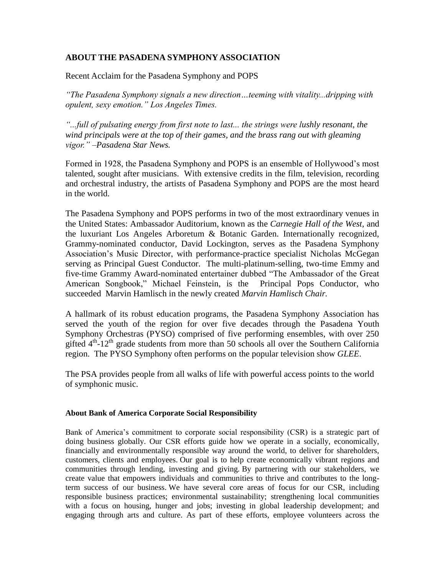### **ABOUT THE PASADENA SYMPHONY ASSOCIATION**

Recent Acclaim for the Pasadena Symphony and POPS

*"The Pasadena Symphony signals a new direction…teeming with vitality...dripping with opulent, sexy emotion." Los Angeles Times.* 

*"...full of pulsating energy from first note to last... the strings were lushly resonant, the wind principals were at the top of their games, and the brass rang out with gleaming vigor." –Pasadena Star News.*

Formed in 1928, the Pasadena Symphony and POPS is an ensemble of Hollywood's most talented, sought after musicians. With extensive credits in the film, television, recording and orchestral industry, the artists of Pasadena Symphony and POPS are the most heard in the world.

The Pasadena Symphony and POPS performs in two of the most extraordinary venues in the United States: Ambassador Auditorium, known as the *Carnegie Hall of the West,* and the luxuriant Los Angeles Arboretum & Botanic Garden. Internationally recognized, Grammy-nominated conductor, David Lockington, serves as the Pasadena Symphony Association's Music Director, with performance-practice specialist Nicholas McGegan serving as Principal Guest Conductor. The multi-platinum-selling, two-time Emmy and five-time Grammy Award-nominated entertainer dubbed "The Ambassador of the Great American Songbook," Michael Feinstein, is the Principal Pops Conductor, who succeeded Marvin Hamlisch in the newly created *Marvin Hamlisch Chair.*

A hallmark of its robust education programs, the Pasadena Symphony Association has served the youth of the region for over five decades through the Pasadena Youth Symphony Orchestras (PYSO) comprised of five performing ensembles, with over 250 gifted  $4<sup>th</sup>$ -12<sup>th</sup> grade students from more than 50 schools all over the Southern California region. The PYSO Symphony often performs on the popular television show *GLEE*.

The PSA provides people from all walks of life with powerful access points to the world of symphonic music.

#### **About Bank of America Corporate Social Responsibility**

Bank of America's commitment to corporate social responsibility (CSR) is a strategic part of doing business globally. Our CSR efforts guide how we operate in a socially, economically, financially and environmentally responsible way around the world, to deliver for shareholders, customers, clients and employees. Our goal is to help create economically vibrant regions and communities through lending, investing and giving. By partnering with our stakeholders, we create value that empowers individuals and communities to thrive and contributes to the longterm success of our business. We have several core areas of focus for our CSR, including responsible business practices; environmental sustainability; strengthening local communities with a focus on housing, hunger and jobs; investing in global leadership development; and engaging through arts and culture. As part of these efforts, employee volunteers across the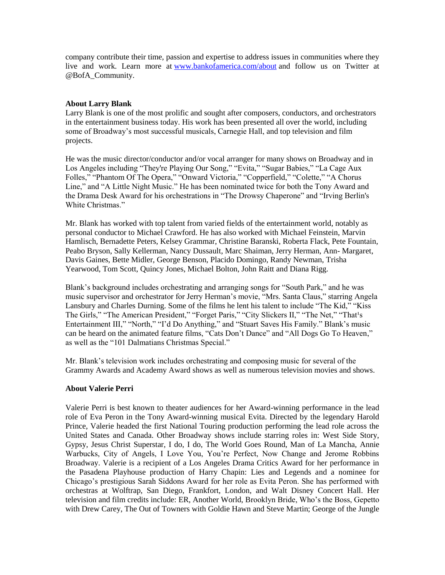company contribute their time, passion and expertise to address issues in communities where they live and work. Learn more at [www.bankofamerica.com/about](http://cts.businesswire.com/ct/CT?id=smartlink&url=http%3A%2F%2Fwww.bankofamerica.com%2Fabout&esheet=50501966&lan=en-US&anchor=www.bankofamerica.com%2Fabout&index=14&md5=f9aaa7d2946f8498d660e846afaac38c) and follow us on Twitter at @BofA\_Community.

#### **About Larry Blank**

Larry Blank is one of the most prolific and sought after composers, conductors, and orchestrators in the entertainment business today. His work has been presented all over the world, including some of Broadway's most successful musicals, Carnegie Hall, and top television and film projects.

He was the music director/conductor and/or vocal arranger for many shows on Broadway and in Los Angeles including "They're Playing Our Song," "Evita," "Sugar Babies," "La Cage Aux Folles," "Phantom Of The Opera," "Onward Victoria," "Copperfield," "Colette," "A Chorus Line," and "A Little Night Music." He has been nominated twice for both the Tony Award and the Drama Desk Award for his orchestrations in "The Drowsy Chaperone" and "Irving Berlin's White Christmas."

Mr. Blank has worked with top talent from varied fields of the entertainment world, notably as personal conductor to Michael Crawford. He has also worked with Michael Feinstein, Marvin Hamlisch, Bernadette Peters, Kelsey Grammar, Christine Baranski, Roberta Flack, Pete Fountain, Peabo Bryson, Sally Kellerman, Nancy Dussault, Marc Shaiman, Jerry Herman, Ann- Margaret, Davis Gaines, Bette Midler, George Benson, Placido Domingo, Randy Newman, Trisha Yearwood, Tom Scott, Quincy Jones, Michael Bolton, John Raitt and Diana Rigg.

Blank's background includes orchestrating and arranging songs for "South Park," and he was music supervisor and orchestrator for Jerry Herman's movie, "Mrs. Santa Claus," starring Angela Lansbury and Charles Durning. Some of the films he lent his talent to include "The Kid," "Kiss The Girls," "The American President," "Forget Paris," "City Slickers II," "The Net," "That<sup>1</sup>s Entertainment III," "North," "I'd Do Anything," and "Stuart Saves His Family." Blank's music can be heard on the animated feature films, "Cats Don't Dance" and "All Dogs Go To Heaven," as well as the "101 Dalmatians Christmas Special."

Mr. Blank's television work includes orchestrating and composing music for several of the Grammy Awards and Academy Award shows as well as numerous television movies and shows.

#### **About Valerie Perri**

Valerie Perri is best known to theater audiences for her Award-winning performance in the lead role of Eva Peron in the Tony Award-winning musical Evita. Directed by the legendary Harold Prince, Valerie headed the first National Touring production performing the lead role across the United States and Canada. Other Broadway shows include starring roles in: West Side Story, Gypsy, Jesus Christ Superstar, I do, I do, The World Goes Round, Man of La Mancha, Annie Warbucks, City of Angels, I Love You, You're Perfect, Now Change and Jerome Robbins Broadway. Valerie is a recipient of a Los Angeles Drama Critics Award for her performance in the Pasadena Playhouse production of Harry Chapin: Lies and Legends and a nominee for Chicago's prestigious Sarah Siddons Award for her role as Evita Peron. She has performed with orchestras at Wolftrap, San Diego, Frankfort, London, and Walt Disney Concert Hall. Her television and film credits include: ER, Another World, Brooklyn Bride, Who's the Boss, Gepetto with Drew Carey, The Out of Towners with Goldie Hawn and Steve Martin; George of the Jungle